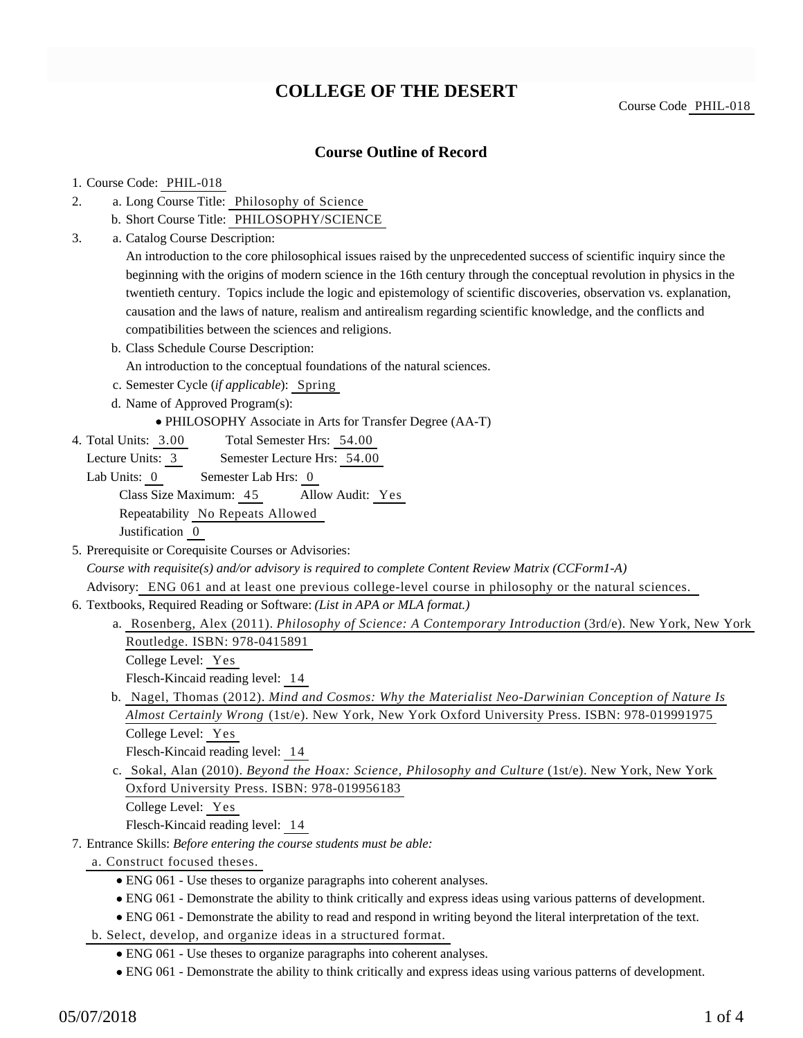# **COLLEGE OF THE DESERT**

Course Code PHIL-018

### **Course Outline of Record**

#### 1. Course Code: PHIL-018

- a. Long Course Title: Philosophy of Science 2.
	- b. Short Course Title: PHILOSOPHY/SCIENCE
- Catalog Course Description: a. 3.

An introduction to the core philosophical issues raised by the unprecedented success of scientific inquiry since the beginning with the origins of modern science in the 16th century through the conceptual revolution in physics in the twentieth century. Topics include the logic and epistemology of scientific discoveries, observation vs. explanation, causation and the laws of nature, realism and antirealism regarding scientific knowledge, and the conflicts and compatibilities between the sciences and religions.

b. Class Schedule Course Description:

An introduction to the conceptual foundations of the natural sciences.

c. Semester Cycle (*if applicable*): Spring

d. Name of Approved Program(s):

PHILOSOPHY Associate in Arts for Transfer Degree (AA-T)

Total Semester Hrs: 54.00 4. Total Units: 3.00

Lecture Units: 3 Semester Lecture Hrs: 54.00

Lab Units: 0 Semester Lab Hrs: 0 Class Size Maximum: 45 Allow Audit: Yes

Repeatability No Repeats Allowed

Justification 0

5. Prerequisite or Corequisite Courses or Advisories:

*Course with requisite(s) and/or advisory is required to complete Content Review Matrix (CCForm1-A)*

Advisory: ENG 061 and at least one previous college-level course in philosophy or the natural sciences.

- 6. Textbooks, Required Reading or Software: (List in APA or MLA format.)
	- a. Rosenberg, Alex (2011). *Philosophy of Science: A Contemporary Introduction* (3rd/e). New York, New York Routledge. ISBN: 978-0415891

College Level: Yes

Flesch-Kincaid reading level: 14

b. Nagel, Thomas (2012). Mind and Cosmos: Why the Materialist Neo-Darwinian Conception of Nature Is *Almost Certainly Wrong* (1st/e). New York, New York Oxford University Press. ISBN: 978-019991975 College Level: Yes

Flesch-Kincaid reading level: 14

c. Sokal, Alan (2010). *Beyond the Hoax: Science, Philosophy and Culture* (1st/e). New York, New York Oxford University Press. ISBN: 978-019956183

College Level: Yes

Flesch-Kincaid reading level: 14

Entrance Skills: *Before entering the course students must be able:* 7.

a. Construct focused theses.

- ENG 061 Use theses to organize paragraphs into coherent analyses.
- ENG 061 Demonstrate the ability to think critically and express ideas using various patterns of development.
- ENG 061 Demonstrate the ability to read and respond in writing beyond the literal interpretation of the text.
- b. Select, develop, and organize ideas in a structured format.
	- ENG 061 Use theses to organize paragraphs into coherent analyses.
	- ENG 061 Demonstrate the ability to think critically and express ideas using various patterns of development.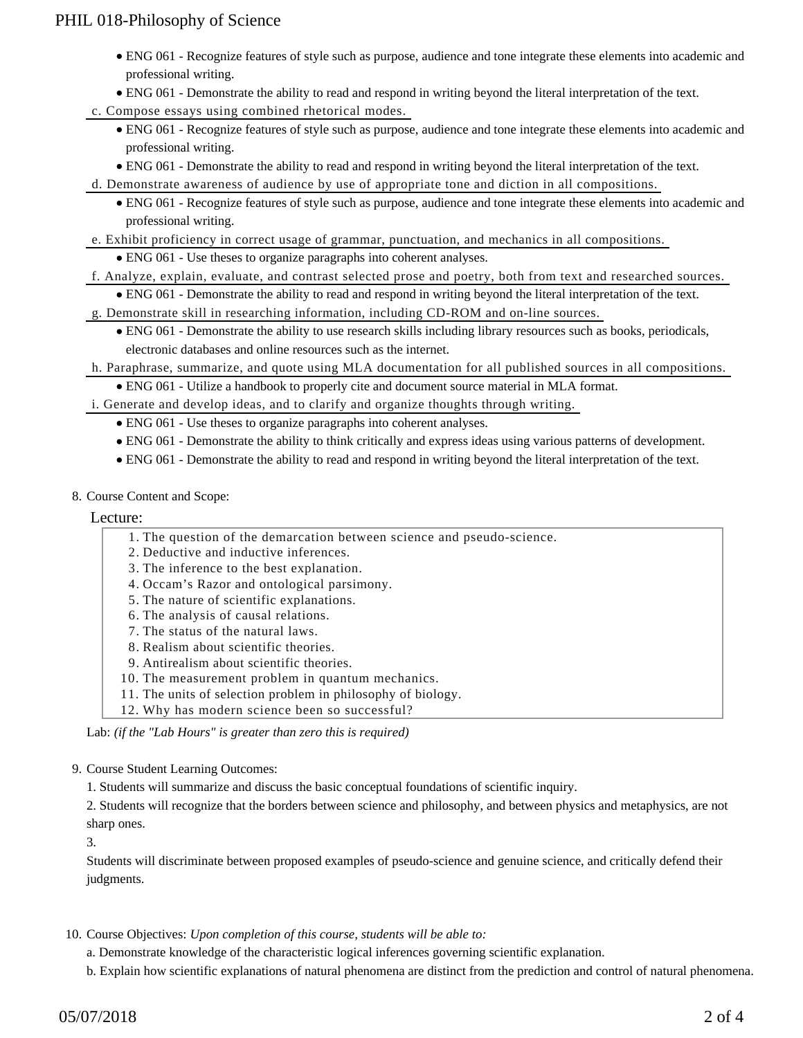## PHIL 018-Philosophy of Science

- ENG 061 Recognize features of style such as purpose, audience and tone integrate these elements into academic and professional writing.
- ENG 061 Demonstrate the ability to read and respond in writing beyond the literal interpretation of the text.
- c. Compose essays using combined rhetorical modes.
	- ENG 061 Recognize features of style such as purpose, audience and tone integrate these elements into academic and professional writing.
	- ENG 061 Demonstrate the ability to read and respond in writing beyond the literal interpretation of the text.
- d. Demonstrate awareness of audience by use of appropriate tone and diction in all compositions.
	- ENG 061 Recognize features of style such as purpose, audience and tone integrate these elements into academic and professional writing.
- e. Exhibit proficiency in correct usage of grammar, punctuation, and mechanics in all compositions.
	- ENG 061 Use theses to organize paragraphs into coherent analyses.
- f. Analyze, explain, evaluate, and contrast selected prose and poetry, both from text and researched sources.
	- ENG 061 Demonstrate the ability to read and respond in writing beyond the literal interpretation of the text.
- g. Demonstrate skill in researching information, including CD-ROM and on-line sources.
	- ENG 061 Demonstrate the ability to use research skills including library resources such as books, periodicals, electronic databases and online resources such as the internet.
- h. Paraphrase, summarize, and quote using MLA documentation for all published sources in all compositions.
	- ENG 061 Utilize a handbook to properly cite and document source material in MLA format.
- i. Generate and develop ideas, and to clarify and organize thoughts through writing.
	- ENG 061 Use theses to organize paragraphs into coherent analyses.
	- ENG 061 Demonstrate the ability to think critically and express ideas using various patterns of development.
	- ENG 061 Demonstrate the ability to read and respond in writing beyond the literal interpretation of the text.
- 8. Course Content and Scope:

#### Lecture:

- 1. The question of the demarcation between science and pseudo-science.
- 2. Deductive and inductive inferences.
- 3. The inference to the best explanation.
- 4. Occam's Razor and ontological parsimony.
- 5. The nature of scientific explanations.
- 6. The analysis of causal relations.
- 7. The status of the natural laws.
- 8. Realism about scientific theories.
- 9. Antirealism about scientific theories.
- 10. The measurement problem in quantum mechanics.
- 11. The units of selection problem in philosophy of biology.
- 12. Why has modern science been so successful?

Lab: *(if the "Lab Hours" is greater than zero this is required)*

9. Course Student Learning Outcomes:

1. Students will summarize and discuss the basic conceptual foundations of scientific inquiry.

2. Students will recognize that the borders between science and philosophy, and between physics and metaphysics, are not sharp ones.

3.

Students will discriminate between proposed examples of pseudo-science and genuine science, and critically defend their judgments.

- 10. Course Objectives: Upon completion of this course, students will be able to:
	- a. Demonstrate knowledge of the characteristic logical inferences governing scientific explanation.
	- b. Explain how scientific explanations of natural phenomena are distinct from the prediction and control of natural phenomena.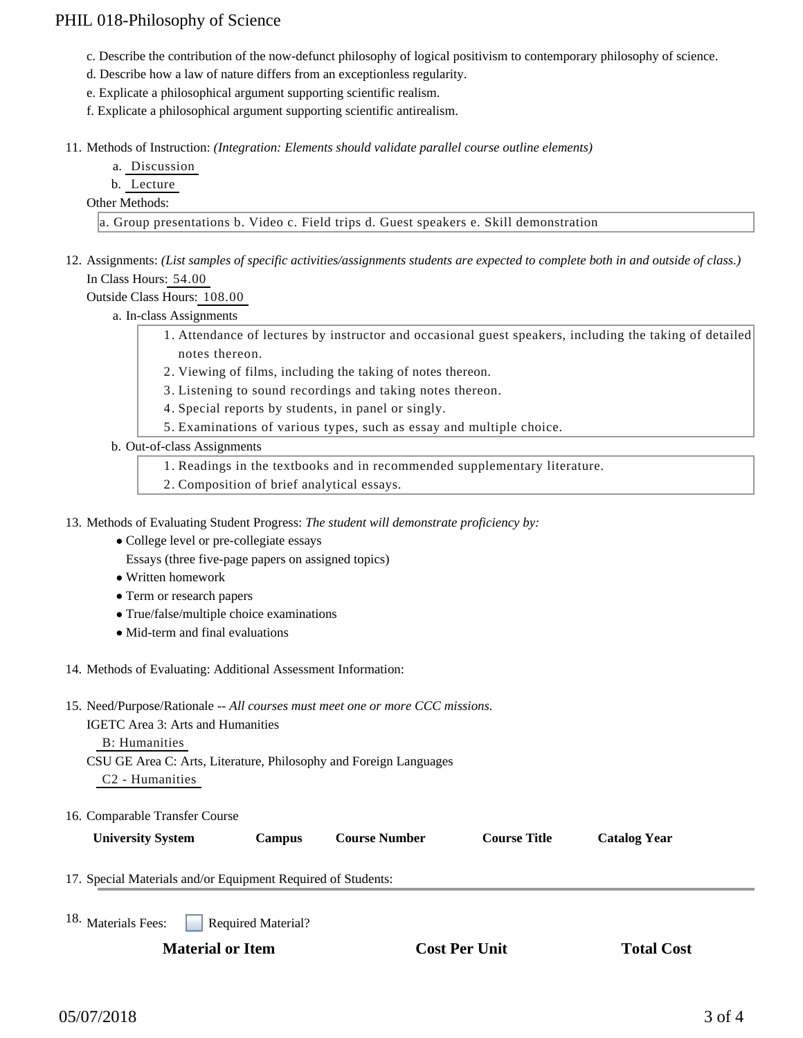## PHIL 018-Philosophy of Science

- c. Describe the contribution of the now-defunct philosophy of logical positivism to contemporary philosophy of science.
- d. Describe how a law of nature differs from an exceptionless regularity.
- e. Explicate a philosophical argument supporting scientific realism.
- f. Explicate a philosophical argument supporting scientific antirealism.
- 11. Methods of Instruction: *(Integration: Elements should validate parallel course outline elements)* 
	- a. Discussion
	- b. Lecture

#### Other Methods:

a. Group presentations b. Video c. Field trips d. Guest speakers e. Skill demonstration

12. Assignments: (List samples of specific activities/assignments students are expected to complete both in and outside of class.) In Class Hours: 54.00

Outside Class Hours: 108.00

- a. In-class Assignments
	- Attendance of lectures by instructor and occasional guest speakers, including the taking of detailed 1. notes thereon.
		- 2. Viewing of films, including the taking of notes thereon.
		- 3. Listening to sound recordings and taking notes thereon.
		- 4. Special reports by students, in panel or singly.
	- 5. Examinations of various types, such as essay and multiple choice.

#### b. Out-of-class Assignments

- 1. Readings in the textbooks and in recommended supplementary literature.
- 2. Composition of brief analytical essays.

13. Methods of Evaluating Student Progress: The student will demonstrate proficiency by:

- College level or pre-collegiate essays
	- Essays (three five-page papers on assigned topics)
- Written homework
- Term or research papers
- True/false/multiple choice examinations
- Mid-term and final evaluations
- 14. Methods of Evaluating: Additional Assessment Information:
- 15. Need/Purpose/Rationale -- All courses must meet one or more CCC missions.

IGETC Area 3: Arts and Humanities

#### B: Humanities

CSU GE Area C: Arts, Literature, Philosophy and Foreign Languages

C2 - Humanities

| <b>University System</b> |  |
|--------------------------|--|
|                          |  |

**Campus Course Number Course Title Catalog Year** 

17. Special Materials and/or Equipment Required of Students:

Required Material? 18. Materials Fees: